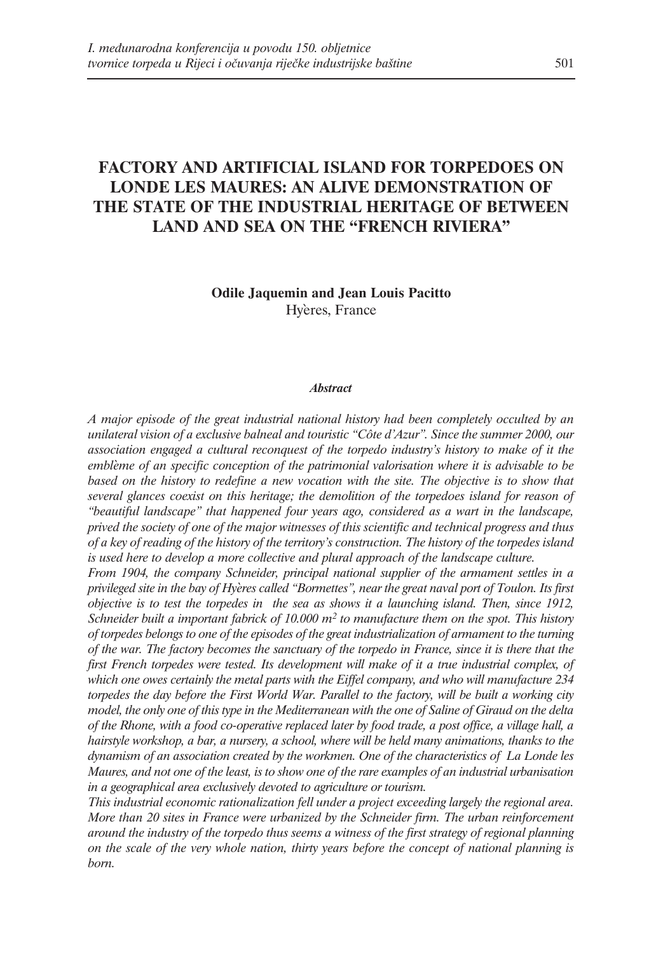## **FACTORY AND ARTIFICIAL ISLAND FOR TORPEDOES ON LONDE LES MAURES: AN ALIVE DEMONSTRATION OF THE STATE OF THE INDUSTRIAL HERITAGE OF BETWEEN LAND AND SEA ON THE "FRENCH RIVIERA"**

**Odile Jaquemin and Jean Louis Pacitto** Hyères, France

## *Abstract*

*A major episode of the great industrial national history had been completely occulted by an unilateral vision of a exclusive balneal and touristic "Côte d'Azur". Since the summer 2000, our association engaged a cultural reconquest of the torpedo industry's history to make of it the embláeme of an specific conception of the patrimonial valorisation where it is advisable to be based on the history to redefine a new vocation with the site. The objective is to show that several glances coexist on this heritage; the demolition of the torpedoes island for reason of "beautiful landscape" that happened four years ago, considered as a wart in the landscape, prived the society of one of the major witnesses of this scientific and technical progress and thus of a key of reading of the history of the territory's construction. The history of the torpedes island is used here to develop a more collective and plural approach of the landscape culture.* 

*From 1904, the company Schneider, principal national supplier of the armament settles in a privileged site in the bay of Hyáeres called "Bormettes", near the great naval port of Toulon. Its first objective is to test the torpedes in the sea as shows it a launching island. Then, since 1912, Schneider built a important fabrick of 10.000 m2 to manufacture them on the spot. This history of torpedes belongs to one of the episodes of the great industrialization of armament to the turning of the war. The factory becomes the sanctuary of the torpedo in France, since it is there that the first French torpedes were tested. Its development will make of it a true industrial complex, of which one owes certainly the metal parts with the Eiffel company, and who will manufacture 234 torpedes the day before the First World War. Parallel to the factory, will be built a working city model, the only one of this type in the Mediterranean with the one of Saline of Giraud on the delta of the Rhone, with a food co-operative replaced later by food trade, a post office, a village hall, a hairstyle workshop, a bar, a nursery, a school, where will be held many animations, thanks to the dynamism of an association created by the workmen. One of the characteristics of La Londe les Maures, and not one of the least, is to show one of the rare examples of an industrial urbanisation in a geographical area exclusively devoted to agriculture or tourism.*

*This industrial economic rationalization fell under a project exceeding largely the regional area. More than 20 sites in France were urbanized by the Schneider firm. The urban reinforcement around the industry of the torpedo thus seems a witness of the first strategy of regional planning on the scale of the very whole nation, thirty years before the concept of national planning is born.*